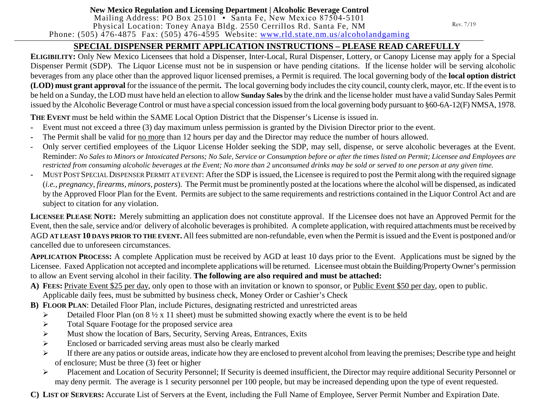### **New Mexico Regulation and Licensing Department | Alcoholic Beverage Control**

Mailing Address: PO Box 25101 • Santa Fe, New Mexico 87504-5101 Physical Location: Toney Anaya Bldg. 2550 Cerrillos Rd. Santa Fe, NM Phone:  $(505)$  476-4875 Fax:  $(505)$  476-4595 Website: [www.rld.state.nm.us/alcoholandgaming](http://www.rld.state.nm.us/alcoholandgaming)

### **SPECIAL DISPENSER PERMIT APPLICATION INSTRUCTIONS – PLEASE READ CAREFULLY**

**ELIGIBILITY:** Only New Mexico Licensees that hold a Dispenser, Inter-Local, Rural Dispenser, Lottery, or Canopy License may apply for a Special Dispenser Permit (SDP). The Liquor License must not be in suspension or have pending citations. If the license holder will be serving alcoholic beverages from any place other than the approved liquor licensed premises, a Permit is required. The local governing body of the **local option district (LOD) must grant approval** for the issuance of the permit. The local governing body includes the city council, county clerk, mayor, etc. If the event is to be held on a Sunday, the LOD must have held an election to allow **Sunday Sales** by the drink and the license holder must have a valid Sunday Sales Permit issued by the Alcoholic Beverage Control or must have a special concession issued from the local governing body pursuant to §60-6A-12(F) NMSA, 1978.

**THE EVENT** must be held within the SAME Local Option District that the Dispenser's License is issued in.

- **-** Event must not exceed a three (3) day maximum unless permission is granted by the Division Director prior to the event.
- **-** The Permit shall be valid for no more than 12 hours per day and the Director may reduce the number of hours allowed.
- **-** Only server certified employees of the Liquor License Holder seeking the SDP, may sell, dispense, or serve alcoholic beverages at the Event. Reminder: *No Sales to Minors or Intoxicated Persons; No Sale, Service or Consumption before or after the times listed on Permit; Licensee and Employees are restricted from consuming alcoholic beverages at the Event; No more than 2 unconsumed drinks may be sold or served to one person at any given time.*
- **-** MUST POST SPECIAL DISPENSER PERMIT AT EVENT: After the SDP is issued, the Licensee is required to post the Permit along with the required signage (*i.e., pregnancy, firearms, minors, posters*). The Permit must be prominently posted at the locations where the alcohol will be dispensed, as indicated by the Approved Floor Plan for the Event. Permits are subject to the same requirements and restrictions contained in the Liquor Control Act and are subject to citation for any violation.

**LICENSEE PLEASE NOTE:** Merely submitting an application does not constitute approval. If the Licensee does not have an Approved Permit for the Event, then the sale, service and/or delivery of alcoholic beverages is prohibited. A complete application, with required attachments must be received by AGD **AT LEAST 10 DAYS PRIOR TO THE EVENT.** All fees submitted are non-refundable, even when the Permit is issued and the Event is postponed and/or cancelled due to unforeseen circumstances.

**APPLICATION PROCESS:** A complete Application must be received by AGD at least 10 days prior to the Event. Applications must be signed by the Licensee. Faxed Application not accepted and incomplete applications will be returned. Licensee must obtain the Building/Property Owner's permission to allow an Event serving alcohol in their facility. **The following are also required and must be attached:**

- **A) FEES:** Private Event \$25 per day, only open to those with an invitation or known to sponsor, or Public Event \$50 per day, open to public. Applicable daily fees, must be submitted by business check, Money Order or Cashier's Check
- **B) FLOOR PLAN**: Detailed Floor Plan, include Pictures, designating restricted and unrestricted areas
	- $\triangleright$  Detailed Floor Plan (on 8  $\frac{1}{2}$  x 11 sheet) must be submitted showing exactly where the event is to be held
	- $\triangleright$  Total Square Footage for the proposed service area
	- $\triangleright$  Must show the location of Bars, Security, Serving Areas, Entrances, Exits
	- Enclosed or barricaded serving areas must also be clearly marked
	- $\triangleright$  If there are any patios or outside areas, indicate how they are enclosed to prevent alcohol from leaving the premises; Describe type and height of enclosure; Must be three (3) feet or higher
	- Placement and Location of Security Personnel; If Security is deemed insufficient, the Director may require additional Security Personnel or may deny permit. The average is 1 security personnel per 100 people, but may be increased depending upon the type of event requested.

**C) LIST OF SERVERS:** Accurate List of Servers at the Event, including the Full Name of Employee, Server Permit Number and Expiration Date.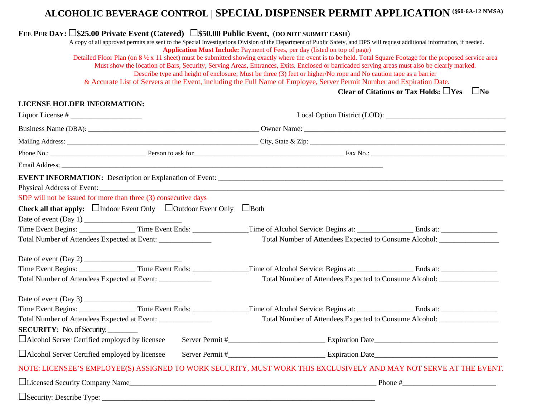## **ALCOHOLIC BEVERAGE CONTROL | SPECIAL DISPENSER PERMIT APPLICATION (§60-6A-12 NMSA)**

# **FEE PER DAY:**  $\Box$ \$25.00 Private Event (Catered)  $\Box$ \$50.00 Public Event, (DO NOT SUBMIT CASH)<br>A copy of all approved permits are sent to the Special Investigations Division of the Department of Public Safety, and DPS wi

**Application Must Include:** Payment of Fees, per day (listed on top of page)

Detailed Floor Plan (on  $8 \frac{1}{2} \times 11$  sheet) must be submitted showing exactly where the event is to be held. Total Square Footage for the proposed service area

Must show the location of Bars, Security, Serving Areas, Entrances, Exits. Enclosed or barricaded serving areas must also be clearly marked.

Describe type and height of enclosure; Must be three (3) feet or higher/No rope and No caution tape as a barrier

& Accurate List of Servers at the Event, including the Full Name of Employee, Server Permit Number and Expiration Date.

**Clear of Citations or Tax Holds: Yes No**

#### **LICENSE HOLDER INFORMATION:**

|                                                                 |                                                                                 | Business Name (DBA): Comer Name: COMPART COMPANY COMPANY COMPANY COMPANY COMPANY COMPANY COMPANY COMPANY COMPANY COMPANY COMPANY COMPANY COMPANY COMPANY COMPANY COMPANY COMPANY COMPANY COMPANY COMPANY COMPANY COMPANY COMPA |                                                                                   |  |  |
|-----------------------------------------------------------------|---------------------------------------------------------------------------------|--------------------------------------------------------------------------------------------------------------------------------------------------------------------------------------------------------------------------------|-----------------------------------------------------------------------------------|--|--|
|                                                                 |                                                                                 |                                                                                                                                                                                                                                |                                                                                   |  |  |
|                                                                 |                                                                                 |                                                                                                                                                                                                                                |                                                                                   |  |  |
|                                                                 |                                                                                 |                                                                                                                                                                                                                                |                                                                                   |  |  |
|                                                                 |                                                                                 |                                                                                                                                                                                                                                |                                                                                   |  |  |
| SDP will not be issued for more than three (3) consecutive days |                                                                                 |                                                                                                                                                                                                                                |                                                                                   |  |  |
|                                                                 | <b>Check all that apply:</b> $\Box$ Indoor Event Only $\Box$ Outdoor Event Only | $\Box$ Both                                                                                                                                                                                                                    |                                                                                   |  |  |
|                                                                 |                                                                                 |                                                                                                                                                                                                                                |                                                                                   |  |  |
|                                                                 |                                                                                 |                                                                                                                                                                                                                                |                                                                                   |  |  |
| Total Number of Attendees Expected at Event: _________________  |                                                                                 | Total Number of Attendees Expected to Consume Alcohol: __________________________                                                                                                                                              |                                                                                   |  |  |
|                                                                 |                                                                                 |                                                                                                                                                                                                                                |                                                                                   |  |  |
|                                                                 |                                                                                 |                                                                                                                                                                                                                                |                                                                                   |  |  |
| Total Number of Attendees Expected at Event: _______________    |                                                                                 |                                                                                                                                                                                                                                | Total Number of Attendees Expected to Consume Alcohol: __________________________ |  |  |
|                                                                 |                                                                                 |                                                                                                                                                                                                                                |                                                                                   |  |  |
|                                                                 |                                                                                 |                                                                                                                                                                                                                                |                                                                                   |  |  |
|                                                                 |                                                                                 | Total Number of Attendees Expected to Consume Alcohol: _________________________                                                                                                                                               |                                                                                   |  |  |
| <b>SECURITY:</b> No. of Security:                               |                                                                                 |                                                                                                                                                                                                                                |                                                                                   |  |  |
| $\Box$ Alcohol Server Certified employed by licensee            |                                                                                 |                                                                                                                                                                                                                                |                                                                                   |  |  |
| $\Box$ Alcohol Server Certified employed by licensee            |                                                                                 |                                                                                                                                                                                                                                |                                                                                   |  |  |
|                                                                 |                                                                                 | NOTE: LICENSEE'S EMPLOYEE(S) ASSIGNED TO WORK SECURITY, MUST WORK THIS EXCLUSIVELY AND MAY NOT SERVE AT THE EVENT.                                                                                                             |                                                                                   |  |  |
|                                                                 |                                                                                 | □Licensed Security Company Name                                                                                                                                                                                                |                                                                                   |  |  |
|                                                                 |                                                                                 |                                                                                                                                                                                                                                |                                                                                   |  |  |